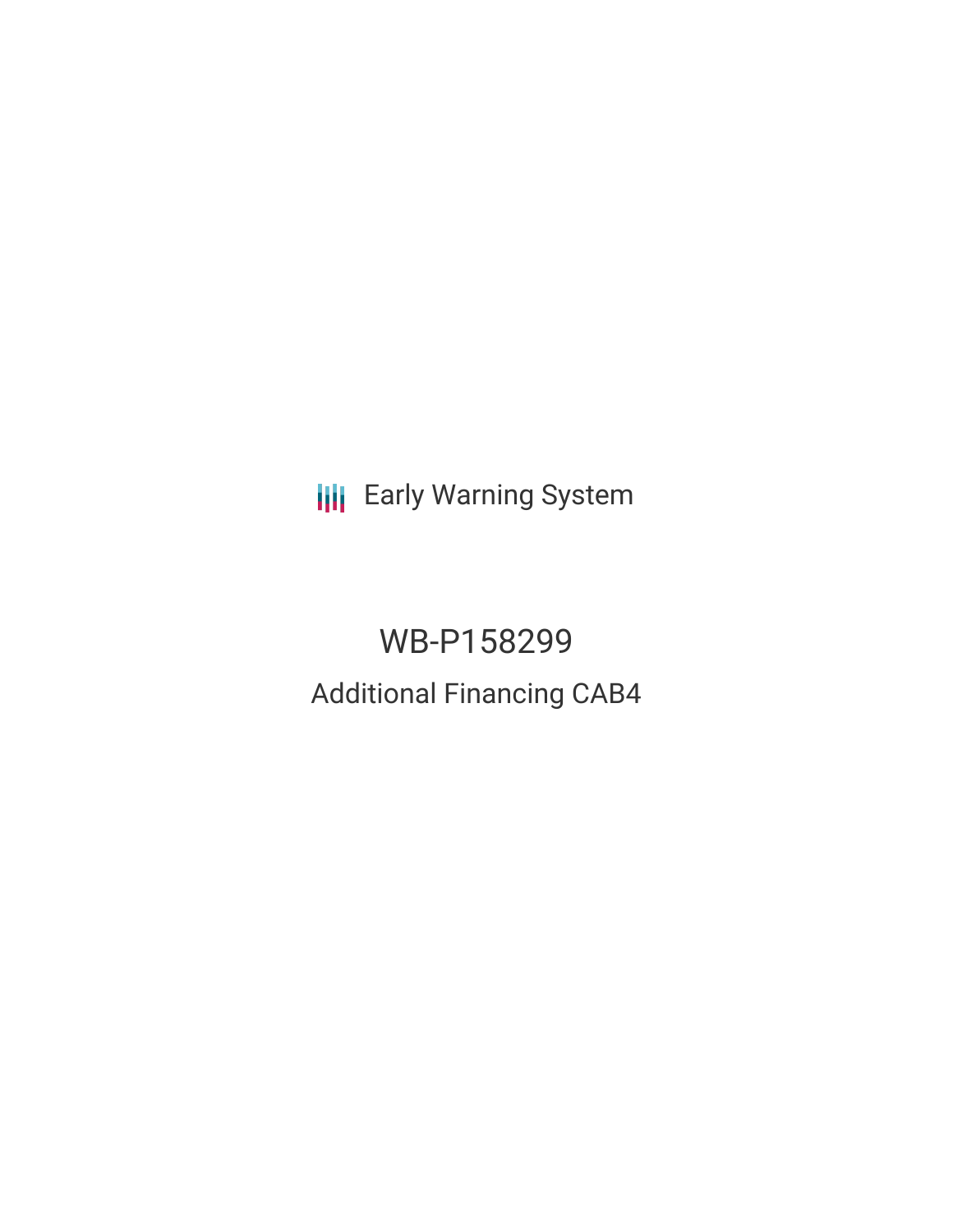**III** Early Warning System

WB-P158299 Additional Financing CAB4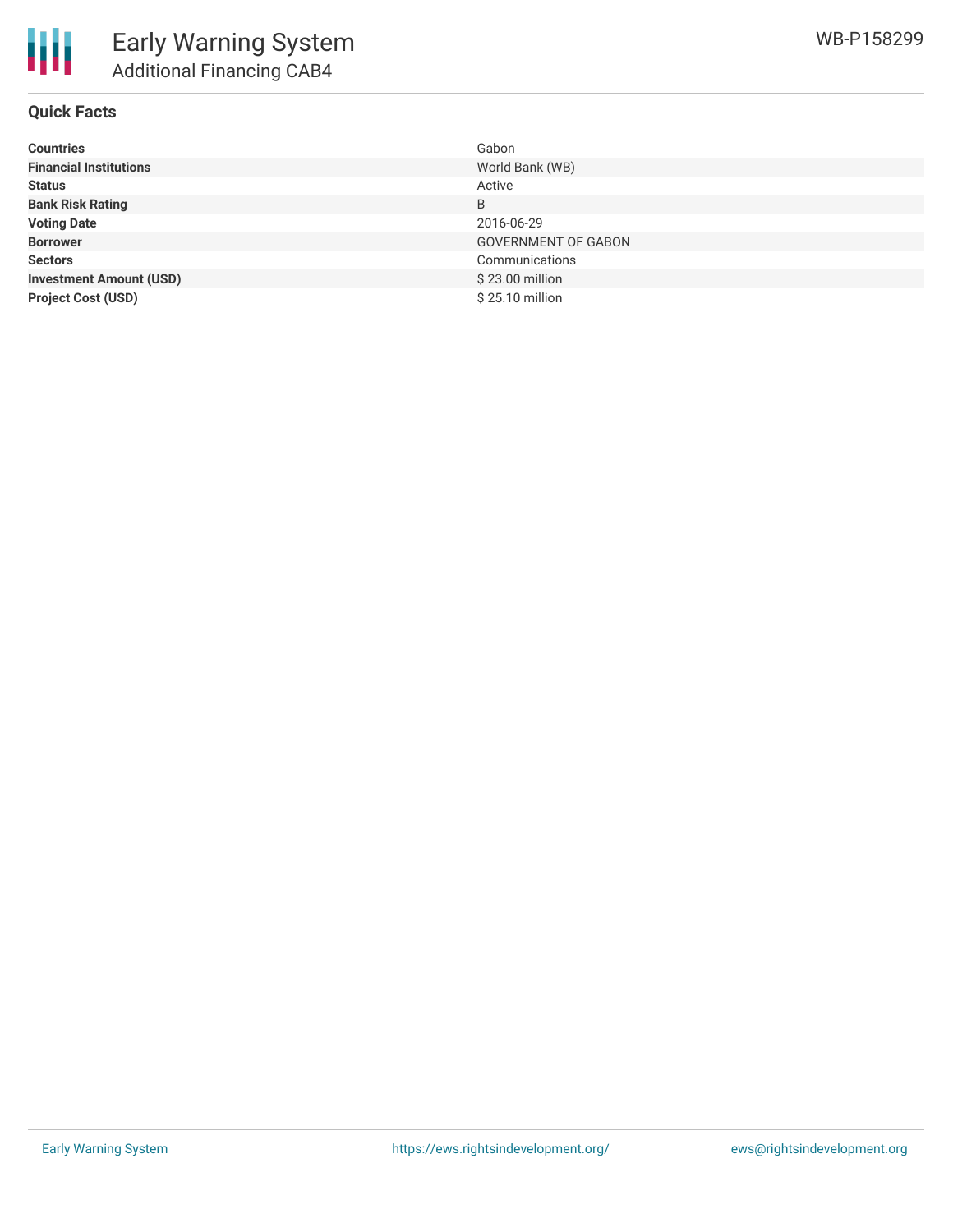

## **Quick Facts**

| <b>Countries</b>               | Gabon                      |
|--------------------------------|----------------------------|
| <b>Financial Institutions</b>  | World Bank (WB)            |
| <b>Status</b>                  | Active                     |
| <b>Bank Risk Rating</b>        | B                          |
| <b>Voting Date</b>             | 2016-06-29                 |
| <b>Borrower</b>                | <b>GOVERNMENT OF GABON</b> |
| <b>Sectors</b>                 | Communications             |
| <b>Investment Amount (USD)</b> | \$23.00 million            |
| <b>Project Cost (USD)</b>      | \$25.10 million            |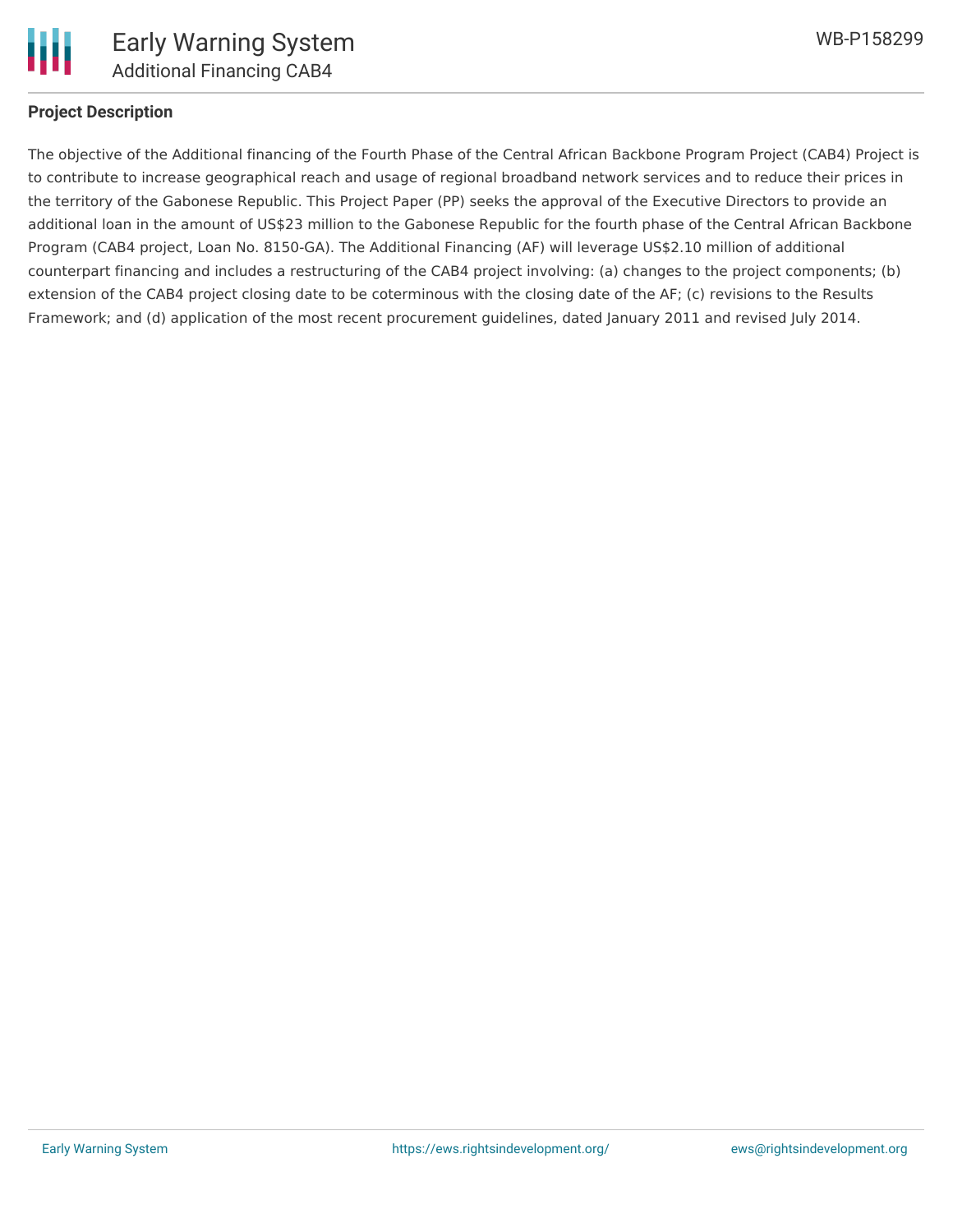

### **Project Description**

The objective of the Additional financing of the Fourth Phase of the Central African Backbone Program Project (CAB4) Project is to contribute to increase geographical reach and usage of regional broadband network services and to reduce their prices in the territory of the Gabonese Republic. This Project Paper (PP) seeks the approval of the Executive Directors to provide an additional loan in the amount of US\$23 million to the Gabonese Republic for the fourth phase of the Central African Backbone Program (CAB4 project, Loan No. 8150-GA). The Additional Financing (AF) will leverage US\$2.10 million of additional counterpart financing and includes a restructuring of the CAB4 project involving: (a) changes to the project components; (b) extension of the CAB4 project closing date to be coterminous with the closing date of the AF; (c) revisions to the Results Framework; and (d) application of the most recent procurement guidelines, dated January 2011 and revised July 2014.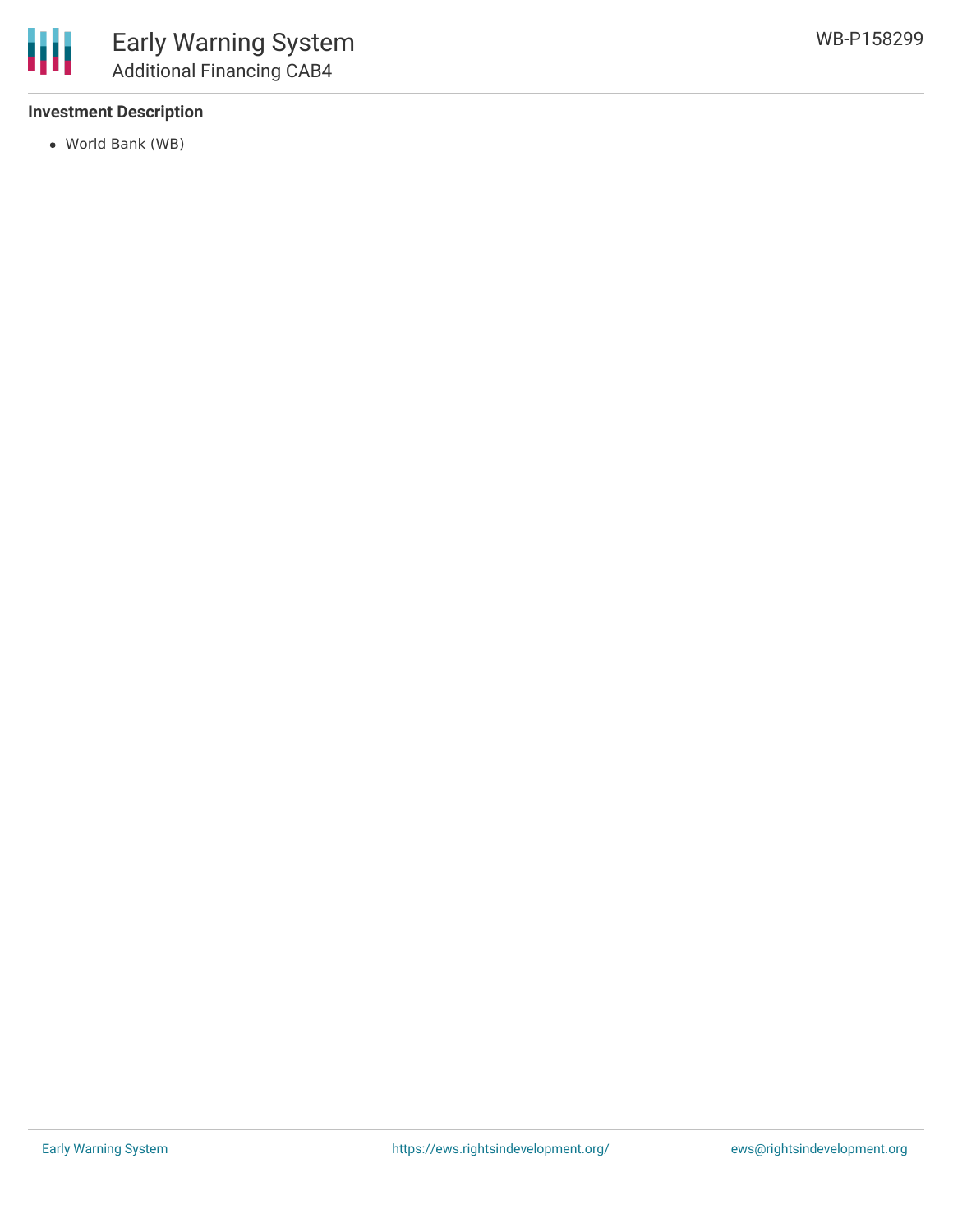## **Investment Description**

World Bank (WB)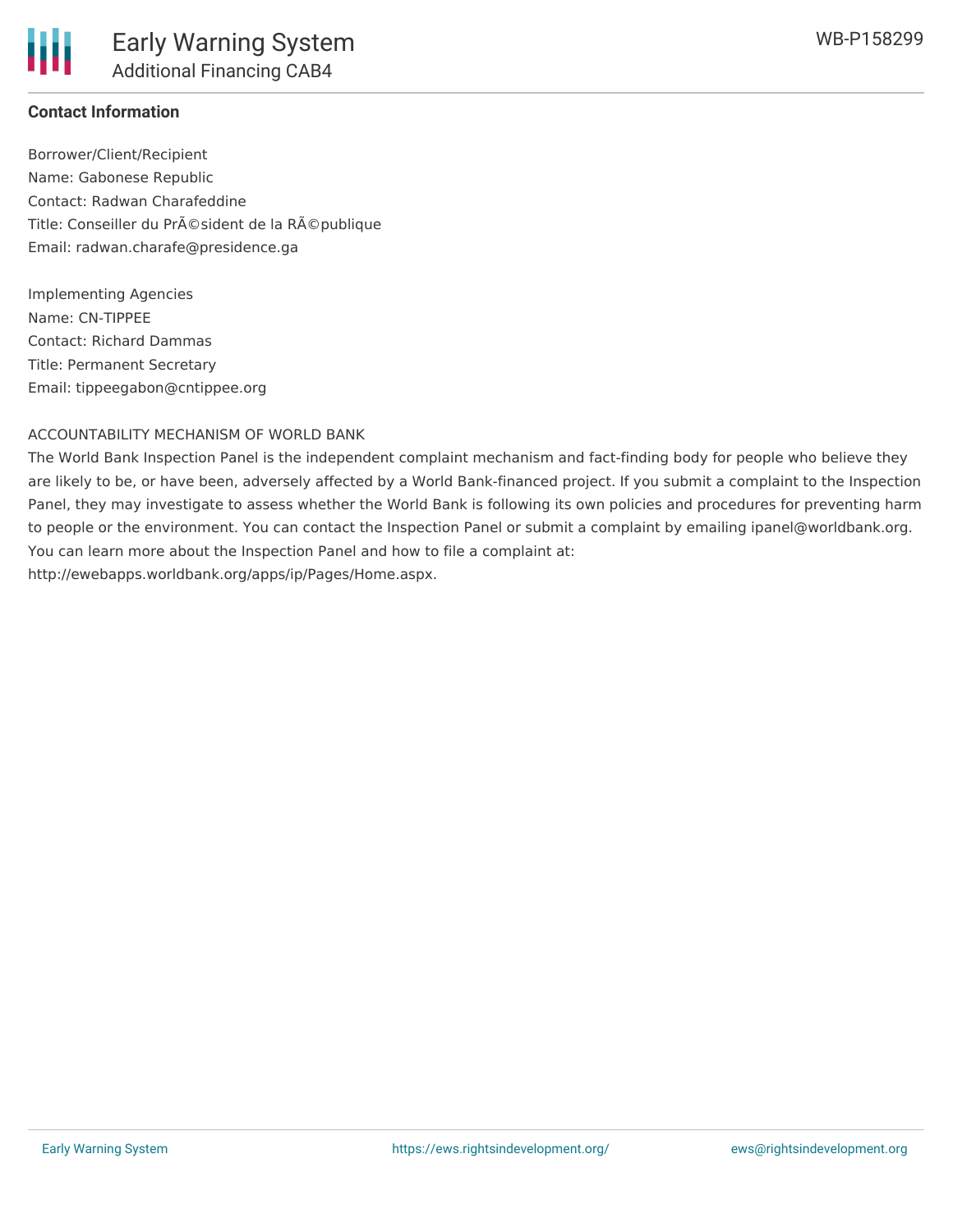

# **Contact Information**

Borrower/Client/Recipient Name: Gabonese Republic Contact: Radwan Charafeddine Title: Conseiller du Président de la République Email: radwan.charafe@presidence.ga

Implementing Agencies Name: CN-TIPPEE Contact: Richard Dammas Title: Permanent Secretary Email: tippeegabon@cntippee.org

### ACCOUNTABILITY MECHANISM OF WORLD BANK

The World Bank Inspection Panel is the independent complaint mechanism and fact-finding body for people who believe they are likely to be, or have been, adversely affected by a World Bank-financed project. If you submit a complaint to the Inspection Panel, they may investigate to assess whether the World Bank is following its own policies and procedures for preventing harm to people or the environment. You can contact the Inspection Panel or submit a complaint by emailing ipanel@worldbank.org. You can learn more about the Inspection Panel and how to file a complaint at: http://ewebapps.worldbank.org/apps/ip/Pages/Home.aspx.